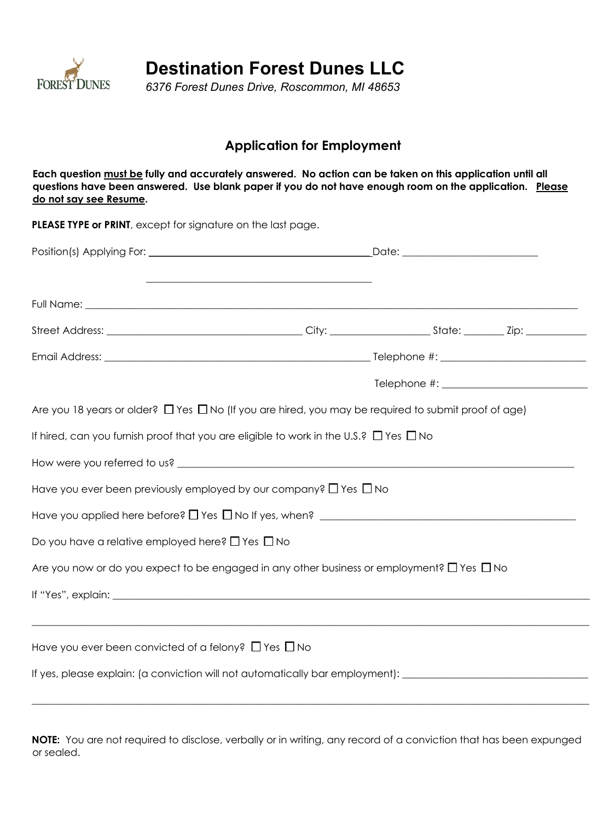

**Destination Forest Dunes LLC**

*6376 Forest Dunes Drive, Roscommon, MI 48653* 

## **Application for Employment**

**Each question must be fully and accurately answered. No action can be taken on this application until all questions have been answered. Use blank paper if you do not have enough room on the application. Please do not say see Resume.**

PLEASE TYPE or PRINT, except for signature on the last page. Position(s) Applying For: \_\_\_\_\_\_\_\_\_\_\_\_\_\_\_\_\_\_\_\_\_\_\_\_\_\_\_\_\_\_\_\_\_\_\_\_\_\_\_\_\_\_\_\_ Date: \_\_\_\_\_\_\_\_\_\_\_\_\_\_\_\_\_\_\_\_\_\_\_\_\_\_\_  $\overline{\phantom{a}}$  ,  $\overline{\phantom{a}}$  ,  $\overline{\phantom{a}}$  ,  $\overline{\phantom{a}}$  ,  $\overline{\phantom{a}}$  ,  $\overline{\phantom{a}}$  ,  $\overline{\phantom{a}}$  ,  $\overline{\phantom{a}}$  ,  $\overline{\phantom{a}}$  ,  $\overline{\phantom{a}}$  ,  $\overline{\phantom{a}}$  ,  $\overline{\phantom{a}}$  ,  $\overline{\phantom{a}}$  ,  $\overline{\phantom{a}}$  ,  $\overline{\phantom{a}}$  ,  $\overline{\phantom{a}}$ Full Name: \_\_\_\_\_\_\_\_\_\_\_\_\_\_\_\_\_\_\_\_\_\_\_\_\_\_\_\_\_\_\_\_\_\_\_\_\_\_\_\_\_\_\_\_\_\_\_\_\_\_\_\_\_\_\_\_\_\_\_\_\_\_\_\_\_\_\_\_\_\_\_\_\_\_\_\_\_\_\_\_\_\_\_\_\_\_\_\_\_\_\_\_\_\_\_\_\_\_ Street Address: \_\_\_\_\_\_\_\_\_\_\_\_\_\_\_\_\_\_\_\_\_\_\_\_\_\_\_\_\_\_\_\_\_\_\_\_\_\_\_ City: \_\_\_\_\_\_\_\_\_\_\_\_\_\_\_\_\_\_\_\_ State: \_\_\_\_\_\_\_\_ Zip: \_\_\_\_\_\_\_\_\_\_\_\_ Email Address:  $\blacksquare$ Telephone  $\#$ : Are you 18 years or older?  $\Box$  Yes  $\Box$  No (If you are hired, you may be required to submit proof of age) If hired, can you furnish proof that you are eligible to work in the U.S.?  $\Box$  Yes  $\Box$  No How were you referred to us? \_\_\_\_\_\_\_\_\_\_\_\_\_\_\_\_\_\_\_\_\_\_\_\_\_\_\_\_\_\_\_\_\_\_\_\_\_\_\_\_\_\_\_\_\_\_\_\_\_\_\_\_\_\_\_\_\_\_\_\_\_\_\_\_\_\_\_\_\_\_\_\_\_\_\_\_\_\_\_ Have you ever been previously employed by our company?  $\Box$  Yes  $\Box$  No Have you applied here before?  $\Box$  Yes  $\Box$  No If yes, when?  $\rule{1em}{0.15mm}$   $\rule{1.5mm}{0.15mm}$ Do you have a relative employed here?  $\Box$  Yes  $\Box$  No Are you now or do you expect to be engaged in any other business or employment?  $\Box$  Yes  $\Box$  No If "Yes", explain:  $\blacksquare$ \_\_\_\_\_\_\_\_\_\_\_\_\_\_\_\_\_\_\_\_\_\_\_\_\_\_\_\_\_\_\_\_\_\_\_\_\_\_\_\_\_\_\_\_\_\_\_\_\_\_\_\_\_\_\_\_\_\_\_\_\_\_\_\_\_\_\_\_\_\_\_\_\_\_\_\_\_\_\_\_\_\_\_\_\_\_\_\_\_\_\_\_\_\_\_\_\_\_\_\_\_\_\_\_\_\_\_\_\_\_\_ Have you ever been convicted of a felony?  $\Box$  Yes  $\Box$  No If yes, please explain: (a conviction will not automatically bar employment):

**NOTE:** You are not required to disclose, verbally or in writing, any record of a conviction that has been expunged or sealed.

\_\_\_\_\_\_\_\_\_\_\_\_\_\_\_\_\_\_\_\_\_\_\_\_\_\_\_\_\_\_\_\_\_\_\_\_\_\_\_\_\_\_\_\_\_\_\_\_\_\_\_\_\_\_\_\_\_\_\_\_\_\_\_\_\_\_\_\_\_\_\_\_\_\_\_\_\_\_\_\_\_\_\_\_\_\_\_\_\_\_\_\_\_\_\_\_\_\_\_\_\_\_\_\_\_\_\_\_\_\_\_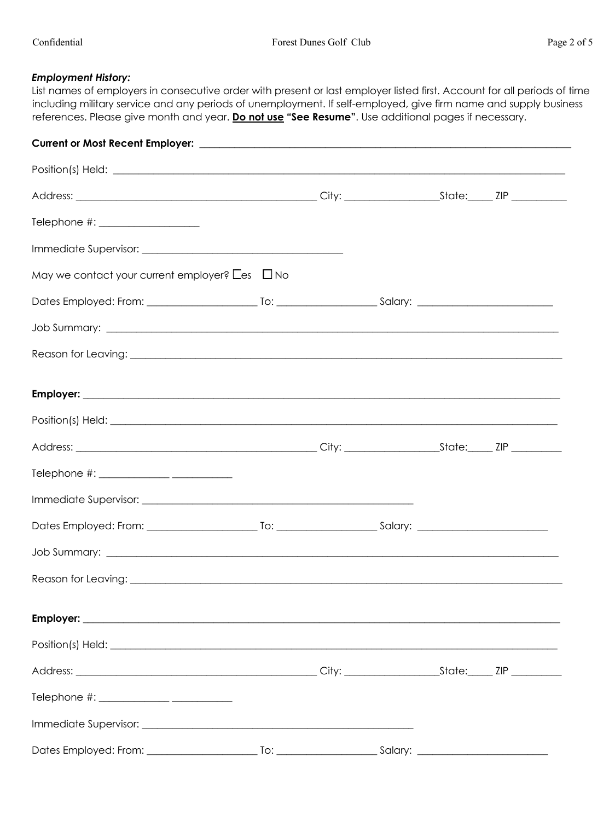## *Employment History:*

List names of employers in consecutive order with present or last employer listed first. Account for all periods of time including military service and any periods of unemployment. If self-employed, give firm name and supply business references. Please give month and year. **Do not use "See Resume"**. Use additional pages if necessary.

| Telephone #: ____________________                         |  |  |  |  |  |
|-----------------------------------------------------------|--|--|--|--|--|
|                                                           |  |  |  |  |  |
| May we contact your current employer? $\Box$ es $\Box$ No |  |  |  |  |  |
|                                                           |  |  |  |  |  |
|                                                           |  |  |  |  |  |
|                                                           |  |  |  |  |  |
|                                                           |  |  |  |  |  |
|                                                           |  |  |  |  |  |
|                                                           |  |  |  |  |  |
|                                                           |  |  |  |  |  |
|                                                           |  |  |  |  |  |
|                                                           |  |  |  |  |  |
|                                                           |  |  |  |  |  |
|                                                           |  |  |  |  |  |
|                                                           |  |  |  |  |  |
|                                                           |  |  |  |  |  |
|                                                           |  |  |  |  |  |
|                                                           |  |  |  |  |  |
|                                                           |  |  |  |  |  |
|                                                           |  |  |  |  |  |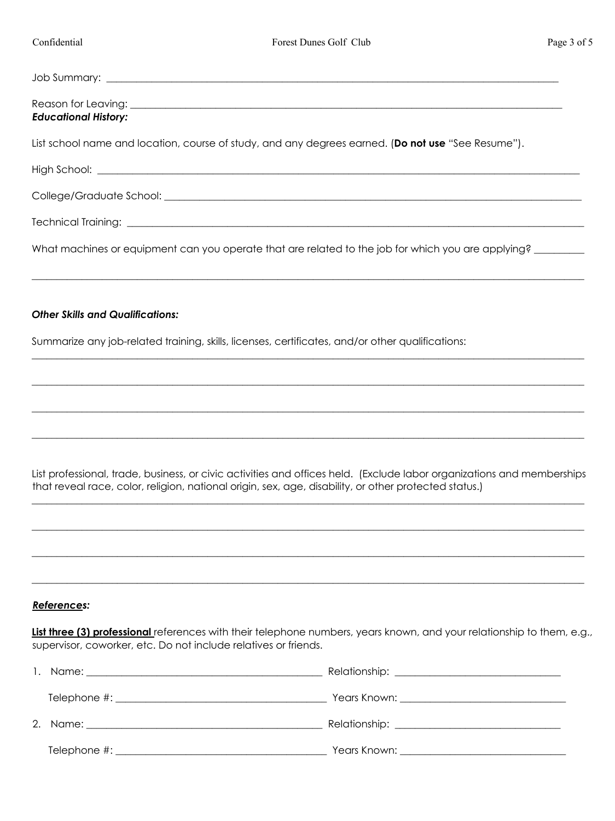| <b>Educational History:</b>                                                                        |
|----------------------------------------------------------------------------------------------------|
| List school name and location, course of study, and any degrees earned. (Do not use "See Resume"). |
|                                                                                                    |
|                                                                                                    |
|                                                                                                    |
| What machines or equipment can you operate that are related to the job for which you are applying? |
| <b>Other Skills and Qualifications:</b>                                                            |
| Summarize any job-related training, skills, licenses, certificates, and/or other qualifications:   |
|                                                                                                    |
|                                                                                                    |
|                                                                                                    |
|                                                                                                    |

List professional, trade, business, or civic activities and offices held. (Exclude labor organizations and memberships that reveal race, color, religion, national origin, sex, age, disability, or other protected status.) \_\_\_\_\_\_\_\_\_\_\_\_\_\_\_\_\_\_\_\_\_\_\_\_\_\_\_\_\_\_\_\_\_\_\_\_\_\_\_\_\_\_\_\_\_\_\_\_\_\_\_\_\_\_\_\_\_\_\_\_\_\_\_\_\_\_\_\_\_\_\_\_\_\_\_\_\_\_\_\_\_\_\_\_\_\_\_\_\_\_\_\_\_\_\_\_\_\_\_\_\_\_\_\_\_\_\_\_\_\_

\_\_\_\_\_\_\_\_\_\_\_\_\_\_\_\_\_\_\_\_\_\_\_\_\_\_\_\_\_\_\_\_\_\_\_\_\_\_\_\_\_\_\_\_\_\_\_\_\_\_\_\_\_\_\_\_\_\_\_\_\_\_\_\_\_\_\_\_\_\_\_\_\_\_\_\_\_\_\_\_\_\_\_\_\_\_\_\_\_\_\_\_\_\_\_\_\_\_\_\_\_\_\_\_\_\_\_\_\_\_

\_\_\_\_\_\_\_\_\_\_\_\_\_\_\_\_\_\_\_\_\_\_\_\_\_\_\_\_\_\_\_\_\_\_\_\_\_\_\_\_\_\_\_\_\_\_\_\_\_\_\_\_\_\_\_\_\_\_\_\_\_\_\_\_\_\_\_\_\_\_\_\_\_\_\_\_\_\_\_\_\_\_\_\_\_\_\_\_\_\_\_\_\_\_\_\_\_\_\_\_\_\_\_\_\_\_\_\_\_\_

\_\_\_\_\_\_\_\_\_\_\_\_\_\_\_\_\_\_\_\_\_\_\_\_\_\_\_\_\_\_\_\_\_\_\_\_\_\_\_\_\_\_\_\_\_\_\_\_\_\_\_\_\_\_\_\_\_\_\_\_\_\_\_\_\_\_\_\_\_\_\_\_\_\_\_\_\_\_\_\_\_\_\_\_\_\_\_\_\_\_\_\_\_\_\_\_\_\_\_\_\_\_\_\_\_\_\_\_\_\_

## *References:*

**List three (3) professional** references with their telephone numbers, years known, and your relationship to them, e.g., supervisor, coworker, etc. Do not include relatives or friends.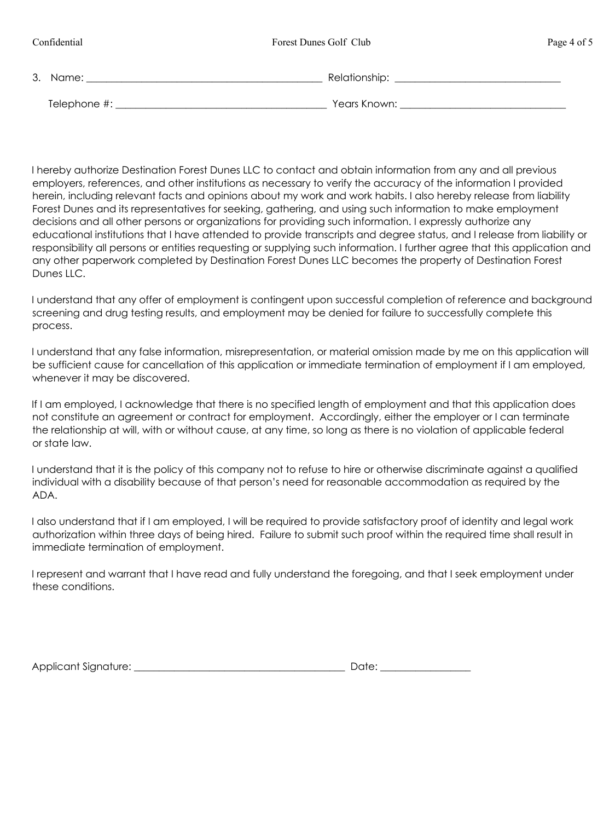| Confidential   | Forest Dunes Golf Club | Page 4 of 5 |
|----------------|------------------------|-------------|
| 3. Name:       | Relationship:          |             |
| Telephone #: _ | Years Known:           |             |

I hereby authorize Destination Forest Dunes LLC to contact and obtain information from any and all previous employers, references, and other institutions as necessary to verify the accuracy of the information I provided herein, including relevant facts and opinions about my work and work habits. I also hereby release from liability Forest Dunes and its representatives for seeking, gathering, and using such information to make employment decisions and all other persons or organizations for providing such information. I expressly authorize any educational institutions that I have attended to provide transcripts and degree status, and I release from liability or responsibility all persons or entities requesting or supplying such information. I further agree that this application and any other paperwork completed by Destination Forest Dunes LLC becomes the property of Destination Forest Dunes LLC.

I understand that any offer of employment is contingent upon successful completion of reference and background screening and drug testing results, and employment may be denied for failure to successfully complete this process.

I understand that any false information, misrepresentation, or material omission made by me on this application will be sufficient cause for cancellation of this application or immediate termination of employment if I am employed, whenever it may be discovered.

If I am employed, I acknowledge that there is no specified length of employment and that this application does not constitute an agreement or contract for employment. Accordingly, either the employer or I can terminate the relationship at will, with or without cause, at any time, so long as there is no violation of applicable federal or state law.

I understand that it is the policy of this company not to refuse to hire or otherwise discriminate against a qualified individual with a disability because of that person's need for reasonable accommodation as required by the ADA.

I also understand that if I am employed, I will be required to provide satisfactory proof of identity and legal work authorization within three days of being hired. Failure to submit such proof within the required time shall result in immediate termination of employment.

I represent and warrant that I have read and fully understand the foregoing, and that I seek employment under these conditions.

| Applicant Signature: |  | "Cupte |
|----------------------|--|--------|
|----------------------|--|--------|